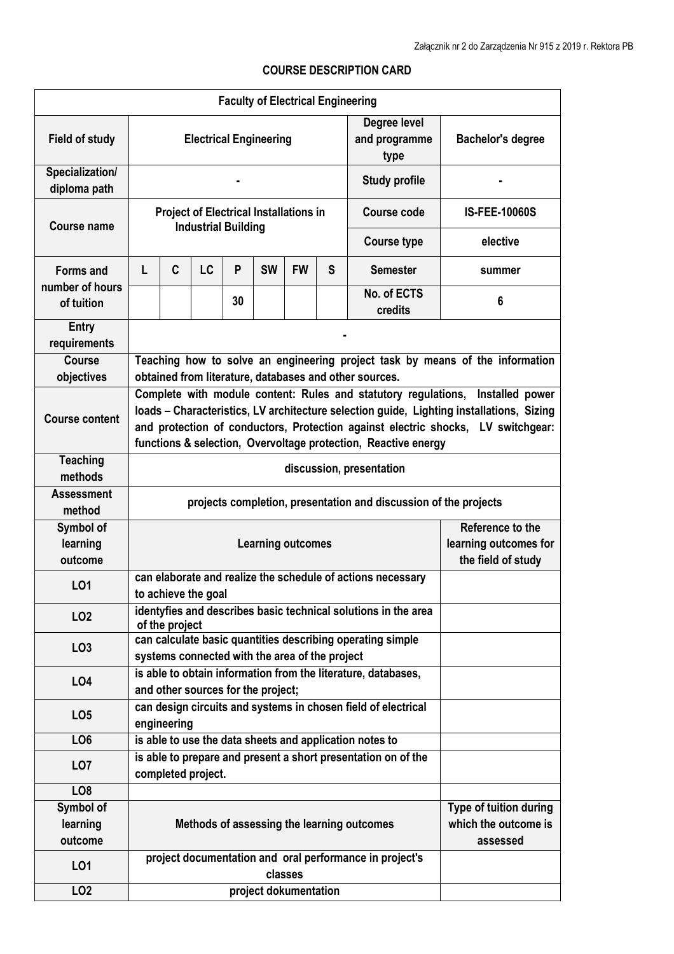## **COURSE DESCRIPTION CARD**

|                                     |                                                                                                                                                                                                                                                                                                                                  |                                                                                     |                                             |    | <b>Faculty of Electrical Engineering</b> |           |   |                                       |                          |  |
|-------------------------------------|----------------------------------------------------------------------------------------------------------------------------------------------------------------------------------------------------------------------------------------------------------------------------------------------------------------------------------|-------------------------------------------------------------------------------------|---------------------------------------------|----|------------------------------------------|-----------|---|---------------------------------------|--------------------------|--|
| <b>Field of study</b>               | <b>Electrical Engineering</b>                                                                                                                                                                                                                                                                                                    |                                                                                     |                                             |    |                                          |           |   | Degree level<br>and programme<br>type | <b>Bachelor's degree</b> |  |
| Specialization/<br>diploma path     |                                                                                                                                                                                                                                                                                                                                  |                                                                                     |                                             |    |                                          |           |   | <b>Study profile</b>                  |                          |  |
| <b>Course name</b>                  | <b>Project of Electrical Installations in</b><br><b>Industrial Building</b>                                                                                                                                                                                                                                                      |                                                                                     |                                             |    |                                          |           |   | <b>Course code</b>                    | <b>IS-FEE-10060S</b>     |  |
|                                     |                                                                                                                                                                                                                                                                                                                                  |                                                                                     |                                             |    |                                          |           |   | <b>Course type</b>                    | elective                 |  |
| <b>Forms and</b><br>number of hours | L                                                                                                                                                                                                                                                                                                                                | C                                                                                   | LC                                          | P  | <b>SW</b>                                | <b>FW</b> | S | <b>Semester</b>                       | summer                   |  |
| of tuition                          |                                                                                                                                                                                                                                                                                                                                  |                                                                                     |                                             | 30 |                                          |           |   | No. of ECTS<br>credits                | 6                        |  |
| Entry<br>requirements               |                                                                                                                                                                                                                                                                                                                                  |                                                                                     |                                             |    |                                          |           |   |                                       |                          |  |
| Course<br>objectives                | Teaching how to solve an engineering project task by means of the information<br>obtained from literature, databases and other sources.                                                                                                                                                                                          |                                                                                     |                                             |    |                                          |           |   |                                       |                          |  |
| <b>Course content</b>               | Complete with module content: Rules and statutory regulations, Installed power<br>loads - Characteristics, LV architecture selection guide, Lighting installations, Sizing<br>and protection of conductors, Protection against electric shocks, LV switchgear:<br>functions & selection, Overvoltage protection, Reactive energy |                                                                                     |                                             |    |                                          |           |   |                                       |                          |  |
| <b>Teaching</b><br>methods          | discussion, presentation                                                                                                                                                                                                                                                                                                         |                                                                                     |                                             |    |                                          |           |   |                                       |                          |  |
| <b>Assessment</b><br>method         | projects completion, presentation and discussion of the projects                                                                                                                                                                                                                                                                 |                                                                                     |                                             |    |                                          |           |   |                                       |                          |  |
| Symbol of                           |                                                                                                                                                                                                                                                                                                                                  |                                                                                     |                                             |    |                                          |           |   |                                       | Reference to the         |  |
| learning<br>outcome                 |                                                                                                                                                                                                                                                                                                                                  |                                                                                     | learning outcomes for<br>the field of study |    |                                          |           |   |                                       |                          |  |
| L01                                 | can elaborate and realize the schedule of actions necessary<br>to achieve the goal                                                                                                                                                                                                                                               |                                                                                     |                                             |    |                                          |           |   |                                       |                          |  |
| LO <sub>2</sub>                     | identyfies and describes basic technical solutions in the area<br>of the project                                                                                                                                                                                                                                                 |                                                                                     |                                             |    |                                          |           |   |                                       |                          |  |
| LO <sub>3</sub>                     | can calculate basic quantities describing operating simple<br>systems connected with the area of the project                                                                                                                                                                                                                     |                                                                                     |                                             |    |                                          |           |   |                                       |                          |  |
| LO4                                 | is able to obtain information from the literature, databases,<br>and other sources for the project;                                                                                                                                                                                                                              |                                                                                     |                                             |    |                                          |           |   |                                       |                          |  |
| LO <sub>5</sub>                     | can design circuits and systems in chosen field of electrical<br>engineering                                                                                                                                                                                                                                                     |                                                                                     |                                             |    |                                          |           |   |                                       |                          |  |
| LO <sub>6</sub>                     | is able to use the data sheets and application notes to                                                                                                                                                                                                                                                                          |                                                                                     |                                             |    |                                          |           |   |                                       |                          |  |
| LO <sub>7</sub>                     |                                                                                                                                                                                                                                                                                                                                  | is able to prepare and present a short presentation on of the<br>completed project. |                                             |    |                                          |           |   |                                       |                          |  |
| LO <sub>8</sub>                     |                                                                                                                                                                                                                                                                                                                                  |                                                                                     |                                             |    |                                          |           |   |                                       |                          |  |
| Symbol of<br>learning<br>outcome    | Type of tuition during<br>which the outcome is<br>Methods of assessing the learning outcomes<br>assessed                                                                                                                                                                                                                         |                                                                                     |                                             |    |                                          |           |   |                                       |                          |  |
| L01                                 |                                                                                                                                                                                                                                                                                                                                  | project documentation and oral performance in project's<br>classes                  |                                             |    |                                          |           |   |                                       |                          |  |
| LO <sub>2</sub>                     | project dokumentation                                                                                                                                                                                                                                                                                                            |                                                                                     |                                             |    |                                          |           |   |                                       |                          |  |